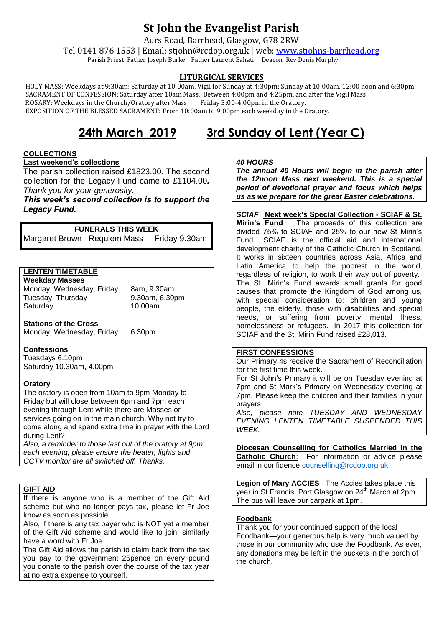## **St John the Evangelist Parish**

Aurs Road, Barrhead, Glasgow, G78 2RW

Tel 0141 876 1553 | Email: stjohn@rcdop.org.uk | web: [www.stjohns-barrhead.org](http://www.stjohns-barrhead.org/) Parish Priest Father Joseph Burke Father Laurent Bahati Deacon Rev Denis Murphy

#### **LITURGICAL SERVICES**

 HOLY MASS: Weekdays at 9:30am; Saturday at 10:00am, Vigil for Sunday at 4:30pm; Sunday at 10:00am, 12:00 noon and 6:30pm. SACRAMENT OF CONFESSION: Saturday after 10am Mass. Between 4:00pm and 4:25pm, and after the Vigil Mass.<br>ROSARY: Weekdays in the Church/Oratory after Mass: Friday 3:00-4:00pm in the Oratory. ROSARY: Weekdays in the Church/Oratory after Mass; EXPOSITION OF THE BLESSED SACRAMENT: From 10:00am to 9:00pm each weekday in the Oratory.

# **24th March 2019 3rd Sunday of Lent (Year C)**

#### **COLLECTIONS**

**Last weekend's collections**

The parish collection raised £1823.00. The second collection for the Legacy Fund came to £1104.00*. Thank you for your generosity.*

*This week's second collection is to support the Legacy Fund.*

#### **FUNERALS THIS WEEK**

Margaret Brown Requiem Mass Friday 9.30am

#### **LENTEN TIMETABLE**

**Weekday Masses** Monday, Wednesday, Friday 8am, 9.30am. Tuesday, Thursday 9.30am, 6.30pm

10.00am

**Stations of the Cross**

Monday, Wednesday, Friday 6.30pm

#### **Confessions**

Tuesdays 6.10pm Saturday 10.30am, 4.00pm

#### **Oratory**

The oratory is open from 10am to 9pm Monday to Friday but will close between 6pm and 7pm each evening through Lent while there are Masses or services going on in the main church. Why not try to come along and spend extra time in prayer with the Lord during Lent?

*Also, a reminder to those last out of the oratory at 9pm each evening, please ensure the heater, lights and CCTV monitor are all switched off. Thanks.*

#### **GIFT AID**

If there is anyone who is a member of the Gift Aid scheme but who no longer pays tax, please let Fr Joe know as soon as possible.

Also, if there is any tax payer who is NOT yet a member of the Gift Aid scheme and would like to join, similarly have a word with Fr Joe.

The Gift Aid allows the parish to claim back from the tax you pay to the government 25pence on every pound you donate to the parish over the course of the tax year at no extra expense to yourself.

#### *40 HOURS*

*The annual 40 Hours will begin in the parish after the 12noon Mass next weekend. This is a special period of devotional prayer and focus which helps us as we prepare for the great Easter celebrations.*

**SCIAF Next week's Special Collection - SCIAF & St. Mirin's Fund** The proceeds of this collection are The proceeds of this collection are divided 75% to SCIAF and 25% to our new St Mirin's Fund. SCIAF is the official aid and international development charity of the Catholic Church in Scotland. It works in sixteen countries across Asia, Africa and Latin America to help the poorest in the world, regardless of religion, to work their way out of poverty. The St. Mirin's Fund awards small grants for good causes that promote the Kingdom of God among us, with special consideration to: children and young people, the elderly, those with disabilities and special needs, or suffering from poverty, mental illness, homelessness or refugees. In 2017 this collection for SCIAF and the St. Mirin Fund raised £28,013.

#### **FIRST CONFESSIONS**

Our Primary 4s receive the Sacrament of Reconciliation for the first time this week.

For St John's Primary it will be on Tuesday evening at 7pm and St Mark's Primary on Wednesday evening at 7pm. Please keep the children and their families in your prayers.

*Also, please note TUESDAY AND WEDNESDAY EVENING LENTEN TIMETABLE SUSPENDED THIS WEEK.*

**Diocesan Counselling for Catholics Married in the Catholic Church**: For information or advice please email in confidence [counselling@rcdop.org.uk](mailto:counselling@rcdop.org.uk)

**Legion of Mary ACCIES** The Accies takes place this year in St Francis, Port Glasgow on 24<sup>th</sup> March at 2pm. The bus will leave our carpark at 1pm.

#### **Foodbank**

Thank you for your continued support of the local Foodbank—your generous help is very much valued by those in our community who use the Foodbank. As ever, any donations may be left in the buckets in the porch of the church.